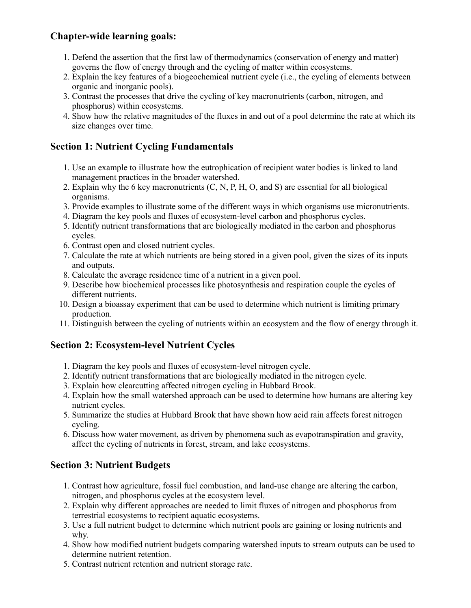# **Chapter-wide learning goals:**

- 1. Defend the assertion that the first law of thermodynamics (conservation of energy and matter) governs the flow of energy through and the cycling of matter within ecosystems.
- 2. Explain the key features of a biogeochemical nutrient cycle (i.e., the cycling of elements between organic and inorganic pools).
- 3. Contrast the processes that drive the cycling of key macronutrients (carbon, nitrogen, and phosphorus) within ecosystems.
- 4. Show how the relative magnitudes of the fluxes in and out of a pool determine the rate at which its size changes over time.

## **Section 1: Nutrient Cycling Fundamentals**

- 1. Use an example to illustrate how the eutrophication of recipient water bodies is linked to land management practices in the broader watershed.
- 2. Explain why the 6 key macronutrients (C, N, P, H, O, and S) are essential for all biological organisms.
- 3. Provide examples to illustrate some of the different ways in which organisms use micronutrients.
- 4. Diagram the key pools and fluxes of ecosystem-level carbon and phosphorus cycles.
- 5. Identify nutrient transformations that are biologically mediated in the carbon and phosphorus cycles.
- 6. Contrast open and closed nutrient cycles.
- 7. Calculate the rate at which nutrients are being stored in a given pool, given the sizes of its inputs and outputs.
- 8. Calculate the average residence time of a nutrient in a given pool.
- 9. Describe how biochemical processes like photosynthesis and respiration couple the cycles of different nutrients.
- 10. Design a bioassay experiment that can be used to determine which nutrient is limiting primary production.
- 11. Distinguish between the cycling of nutrients within an ecosystem and the flow of energy through it.

#### **Section 2: Ecosystem-level Nutrient Cycles**

- 1. Diagram the key pools and fluxes of ecosystem-level nitrogen cycle.
- 2. Identify nutrient transformations that are biologically mediated in the nitrogen cycle.
- 3. Explain how clearcutting affected nitrogen cycling in Hubbard Brook.
- 4. Explain how the small watershed approach can be used to determine how humans are altering key nutrient cycles.
- 5. Summarize the studies at Hubbard Brook that have shown how acid rain affects forest nitrogen cycling.
- 6. Discuss how water movement, as driven by phenomena such as evapotranspiration and gravity, affect the cycling of nutrients in forest, stream, and lake ecosystems.

## **Section 3: Nutrient Budgets**

- 1. Contrast how agriculture, fossil fuel combustion, and land-use change are altering the carbon, nitrogen, and phosphorus cycles at the ecosystem level.
- 2. Explain why different approaches are needed to limit fluxes of nitrogen and phosphorus from terrestrial ecosystems to recipient aquatic ecosystems.
- 3. Use a full nutrient budget to determine which nutrient pools are gaining or losing nutrients and why.
- 4. Show how modified nutrient budgets comparing watershed inputs to stream outputs can be used to determine nutrient retention.
- 5. Contrast nutrient retention and nutrient storage rate.